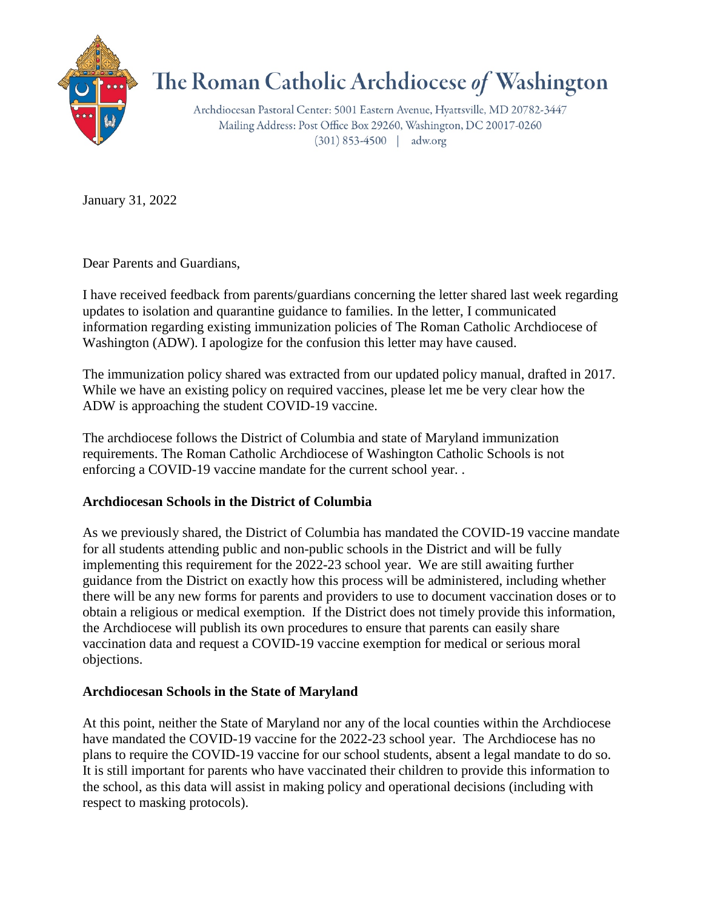

## The Roman Catholic Archdiocese of Washington

Archdiocesan Pastoral Center: 5001 Eastern Avenue, Hyattsville, MD 20782-3447 Mailing Address: Post Office Box 29260, Washington, DC 20017-0260  $(301) 853-4500$  | adw.org

January 31, 2022

Dear Parents and Guardians,

I have received feedback from parents/guardians concerning the letter shared last week regarding updates to isolation and quarantine guidance to families. In the letter, I communicated information regarding existing immunization policies of The Roman Catholic Archdiocese of Washington (ADW). I apologize for the confusion this letter may have caused.

The immunization policy shared was extracted from our updated policy manual, drafted in 2017. While we have an existing policy on required vaccines, please let me be very clear how the ADW is approaching the student COVID-19 vaccine.

The archdiocese follows the District of Columbia and state of Maryland immunization requirements. The Roman Catholic Archdiocese of Washington Catholic Schools is not enforcing a COVID-19 vaccine mandate for the current school year. .

## **Archdiocesan Schools in the District of Columbia**

As we previously shared, the District of Columbia has mandated the COVID-19 vaccine mandate for all students attending public and non-public schools in the District and will be fully implementing this requirement for the 2022-23 school year. We are still awaiting further guidance from the District on exactly how this process will be administered, including whether there will be any new forms for parents and providers to use to document vaccination doses or to obtain a religious or medical exemption. If the District does not timely provide this information, the Archdiocese will publish its own procedures to ensure that parents can easily share vaccination data and request a COVID-19 vaccine exemption for medical or serious moral objections.

## **Archdiocesan Schools in the State of Maryland**

At this point, neither the State of Maryland nor any of the local counties within the Archdiocese have mandated the COVID-19 vaccine for the 2022-23 school year. The Archdiocese has no plans to require the COVID-19 vaccine for our school students, absent a legal mandate to do so. It is still important for parents who have vaccinated their children to provide this information to the school, as this data will assist in making policy and operational decisions (including with respect to masking protocols).